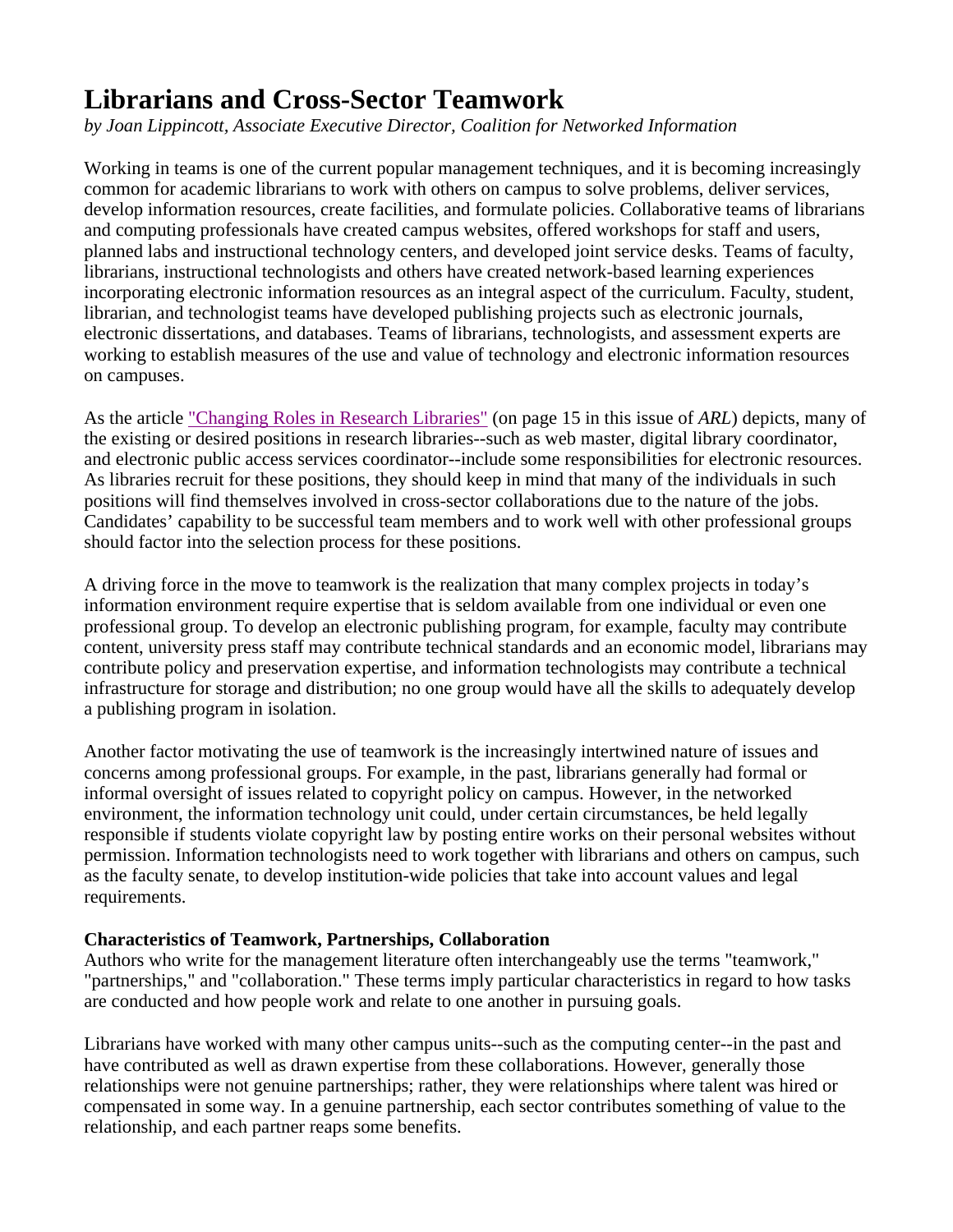## **Librarians and Cross-Sector Teamwork**

*by Joan Lippincott, Associate Executive Director, Coalition for Networked Information* 

Working in teams is one of the current popular management techniques, and it is becoming increasingly common for academic librarians to work with others on campus to solve problems, deliver services, develop information resources, create facilities, and formulate policies. Collaborative teams of librarians and computing professionals have created campus websites, offered workshops for staff and users, planned labs and instructional technology centers, and developed joint service desks. Teams of faculty, librarians, instructional technologists and others have created network-based learning experiences incorporating electronic information resources as an integral aspect of the curriculum. Faculty, student, librarian, and technologist teams have developed publishing projects such as electronic journals, electronic dissertations, and databases. Teams of librarians, technologists, and assessment experts are working to establish measures of the use and value of technology and electronic information resources on campuses.

As the article "Changing Roles in Research Libraries" (on page 15 in this issue of *ARL*) depicts, many of the existing or desired positions in research libraries--such as web master, digital library coordinator, and electronic public access services coordinator--include some responsibilities for electronic resources. As libraries recruit for these positions, they should keep in mind that many of the individuals in such positions will find themselves involved in cross-sector collaborations due to the nature of the jobs. Candidates' capability to be successful team members and to work well with other professional groups should factor into the selection process for these positions.

A driving force in the move to teamwork is the realization that many complex projects in today's information environment require expertise that is seldom available from one individual or even one professional group. To develop an electronic publishing program, for example, faculty may contribute content, university press staff may contribute technical standards and an economic model, librarians may contribute policy and preservation expertise, and information technologists may contribute a technical infrastructure for storage and distribution; no one group would have all the skills to adequately develop a publishing program in isolation.

Another factor motivating the use of teamwork is the increasingly intertwined nature of issues and concerns among professional groups. For example, in the past, librarians generally had formal or informal oversight of issues related to copyright policy on campus. However, in the networked environment, the information technology unit could, under certain circumstances, be held legally responsible if students violate copyright law by posting entire works on their personal websites without permission. Information technologists need to work together with librarians and others on campus, such as the faculty senate, to develop institution-wide policies that take into account values and legal requirements.

## **Characteristics of Teamwork, Partnerships, Collaboration**

Authors who write for the management literature often interchangeably use the terms "teamwork," "partnerships," and "collaboration." These terms imply particular characteristics in regard to how tasks are conducted and how people work and relate to one another in pursuing goals.

Librarians have worked with many other campus units--such as the computing center--in the past and have contributed as well as drawn expertise from these collaborations. However, generally those relationships were not genuine partnerships; rather, they were relationships where talent was hired or compensated in some way. In a genuine partnership, each sector contributes something of value to the relationship, and each partner reaps some benefits.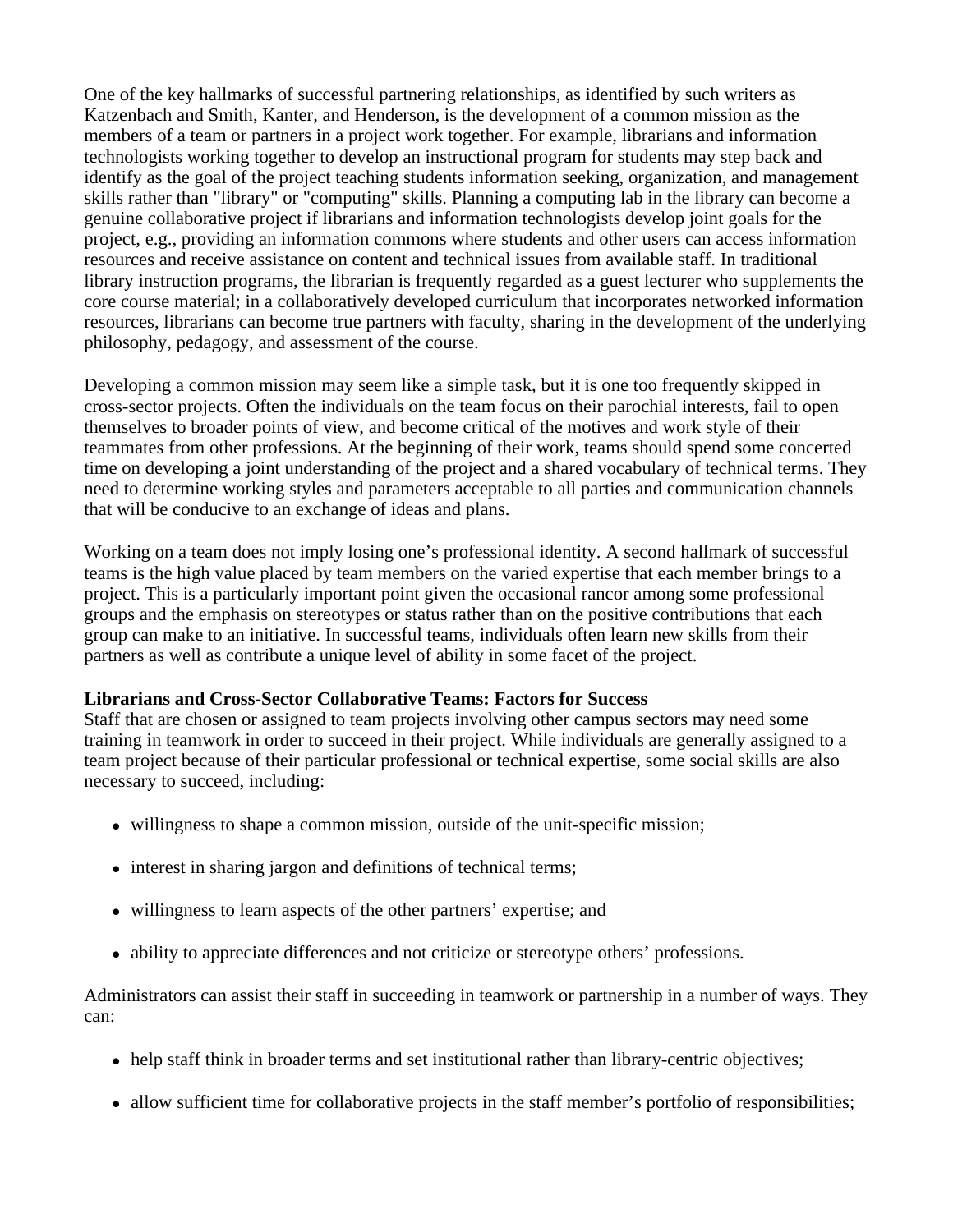One of the key hallmarks of successful partnering relationships, as identified by such writers as Katzenbach and Smith, Kanter, and Henderson, is the development of a common mission as the members of a team or partners in a project work together. For example, librarians and information technologists working together to develop an instructional program for students may step back and identify as the goal of the project teaching students information seeking, organization, and management skills rather than "library" or "computing" skills. Planning a computing lab in the library can become a genuine collaborative project if librarians and information technologists develop joint goals for the project, e.g., providing an information commons where students and other users can access information resources and receive assistance on content and technical issues from available staff. In traditional library instruction programs, the librarian is frequently regarded as a guest lecturer who supplements the core course material; in a collaboratively developed curriculum that incorporates networked information resources, librarians can become true partners with faculty, sharing in the development of the underlying philosophy, pedagogy, and assessment of the course.

Developing a common mission may seem like a simple task, but it is one too frequently skipped in cross-sector projects. Often the individuals on the team focus on their parochial interests, fail to open themselves to broader points of view, and become critical of the motives and work style of their teammates from other professions. At the beginning of their work, teams should spend some concerted time on developing a joint understanding of the project and a shared vocabulary of technical terms. They need to determine working styles and parameters acceptable to all parties and communication channels that will be conducive to an exchange of ideas and plans.

Working on a team does not imply losing one's professional identity. A second hallmark of successful teams is the high value placed by team members on the varied expertise that each member brings to a project. This is a particularly important point given the occasional rancor among some professional groups and the emphasis on stereotypes or status rather than on the positive contributions that each group can make to an initiative. In successful teams, individuals often learn new skills from their partners as well as contribute a unique level of ability in some facet of the project.

## **Librarians and Cross-Sector Collaborative Teams: Factors for Success**

Staff that are chosen or assigned to team projects involving other campus sectors may need some training in teamwork in order to succeed in their project. While individuals are generally assigned to a team project because of their particular professional or technical expertise, some social skills are also necessary to succeed, including:

- willingness to shape a common mission, outside of the unit-specific mission;
- $\bullet$  interest in sharing jargon and definitions of technical terms;
- willingness to learn aspects of the other partners' expertise; and
- ability to appreciate differences and not criticize or stereotype others' professions.

Administrators can assist their staff in succeeding in teamwork or partnership in a number of ways. They can:

- help staff think in broader terms and set institutional rather than library-centric objectives;
- allow sufficient time for collaborative projects in the staff member's portfolio of responsibilities;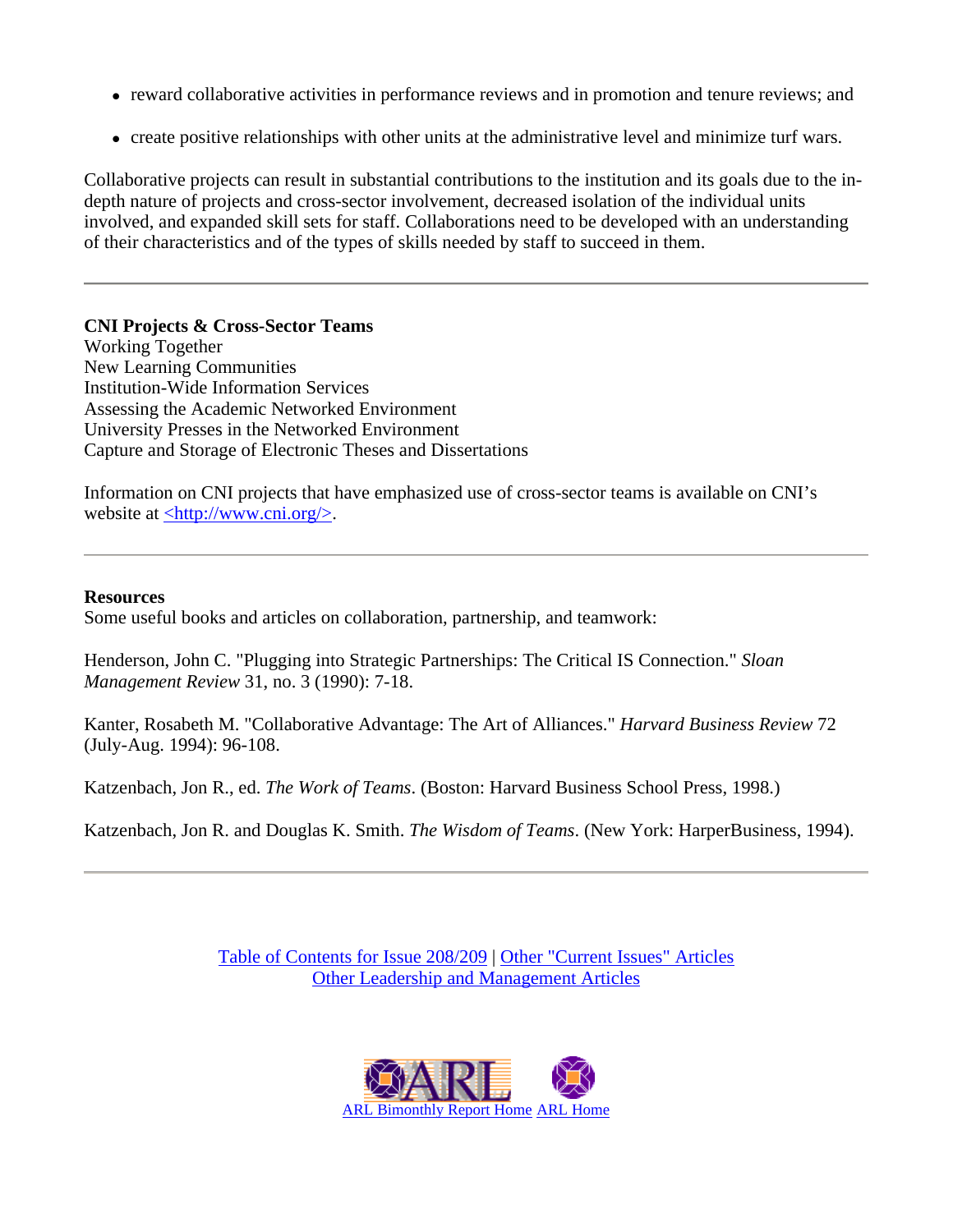- reward collaborative activities in performance reviews and in promotion and tenure reviews; and
- create positive relationships with other units at the administrative level and minimize turf wars.

Collaborative projects can result in substantial contributions to the institution and its goals due to the indepth nature of projects and cross-sector involvement, decreased isolation of the individual units involved, and expanded skill sets for staff. Collaborations need to be developed with an understanding of their characteristics and of the types of skills needed by staff to succeed in them.

**CNI Projects & Cross-Sector Teams** Working Together New Learning Communities Institution-Wide Information Services Assessing the Academic Networked Environment University Presses in the Networked Environment Capture and Storage of Electronic Theses and Dissertations

Information on CNI projects that have emphasized use of cross-sector teams is available on CNI's website at  $\langle \frac{http://www.cni.org}{\rangle}$ .

## **Resources**

Some useful books and articles on collaboration, partnership, and teamwork:

Henderson, John C. "Plugging into Strategic Partnerships: The Critical IS Connection." *Sloan Management Review* 31, no. 3 (1990): 7-18.

Kanter, Rosabeth M. "Collaborative Advantage: The Art of Alliances." *Harvard Business Review* 72 (July-Aug. 1994): 96-108.

Katzenbach, Jon R., ed. *The Work of Teams*. (Boston: Harvard Business School Press, 1998.)

Katzenbach, Jon R. and Douglas K. Smith. *The Wisdom of Teams*. (New York: HarperBusiness, 1994).

Table of Contents for Issue 208/209 | Other "Current Issues" Articles Other Leadership and Management Articles